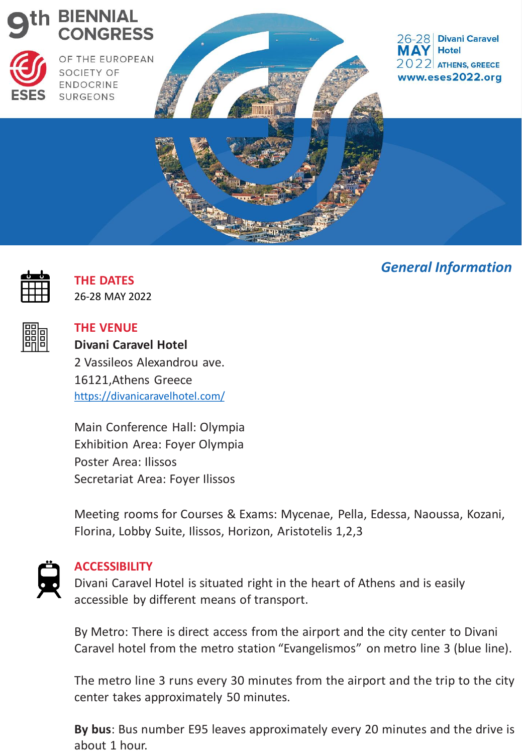

# *General Information*



**THE DATES** 26-28 MAY 2022

**THE VENUE**

**Divani Caravel Hotel**

2 Vassileos Alexandrou ave. 16121,Athens Greece <https://divanicaravelhotel.com/>

Main Conference Hall: Olympia Exhibition Area: Foyer Olympia Poster Area: Ilissos Secretariat Area: Foyer Ilissos

Meeting rooms for Courses & Exams: Mycenae, Pella, Edessa, Naoussa, Kozani, Florina, Lobby Suite, Ilissos, Horizon, Aristotelis 1,2,3



## **ACCESSIBILITY**

Divani Caravel Hotel is situated right in the heart of Athens and is easily accessible by different means of transport.

By Metro: There is direct access from the airport and the city center to Divani Caravel hotel from the metro station "Evangelismos" on metro line 3 (blue line).

The metro line 3 runs every 30 minutes from the airport and the trip to the city center takes approximately 50 minutes.

**By bus**: Bus number E95 leaves approximately every 20 minutes and the drive is about 1 hour.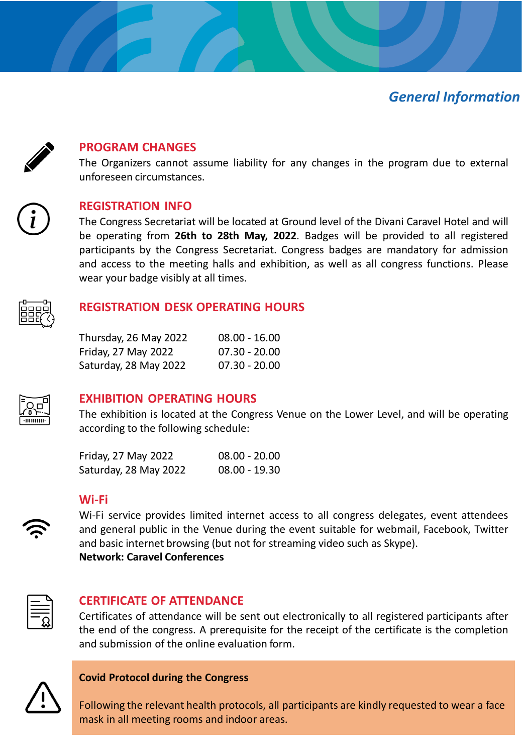# *General Information*



### **PROGRAM CHANGES**

The Organizers cannot assume liability for any changes in the program due to external unforeseen circumstances.



#### **REGISTRATION INFO**

The Congress Secretariat will be located at Ground level of the Divani Caravel Hotel and will be operating from **26th to 28th May, 2022**. Badges will be provided to all registered participants by the Congress Secretariat. Congress badges are mandatory for admission and access to the meeting halls and exhibition, as well as all congress functions. Please wear your badge visibly at all times.



#### **REGISTRATION DESK OPERATING HOURS**

| Thursday, 26 May 2022 | $08.00 - 16.00$ |
|-----------------------|-----------------|
| Friday, 27 May 2022   | $07.30 - 20.00$ |
| Saturday, 28 May 2022 | $07.30 - 20.00$ |



### **EXHIBITION OPERATING HOURS**

The exhibition is located at the Congress Venue on the Lower Level, and will be operating according to the following schedule:

| Friday, 27 May 2022   | $08.00 - 20.00$ |
|-----------------------|-----------------|
| Saturday, 28 May 2022 | $08.00 - 19.30$ |

#### **Wi-Fi**



Wi-Fi service provides limited internet access to all congress delegates, event attendees and general public in the Venue during the event suitable for webmail, Facebook, Twitter and basic internet browsing (but not for streaming video such as Skype). **Network: Caravel Conferences**



### **CERTIFICATE OF ATTENDANCE**

Certificates of attendance will be sent out electronically to all registered participants after the end of the congress. A prerequisite for the receipt of the certificate is the completion and submission of the online evaluation form.



#### **Covid Protocol during the Congress**

Following the relevant health protocols, all participants are kindly requested to wear a face mask in all meeting rooms and indoor areas.